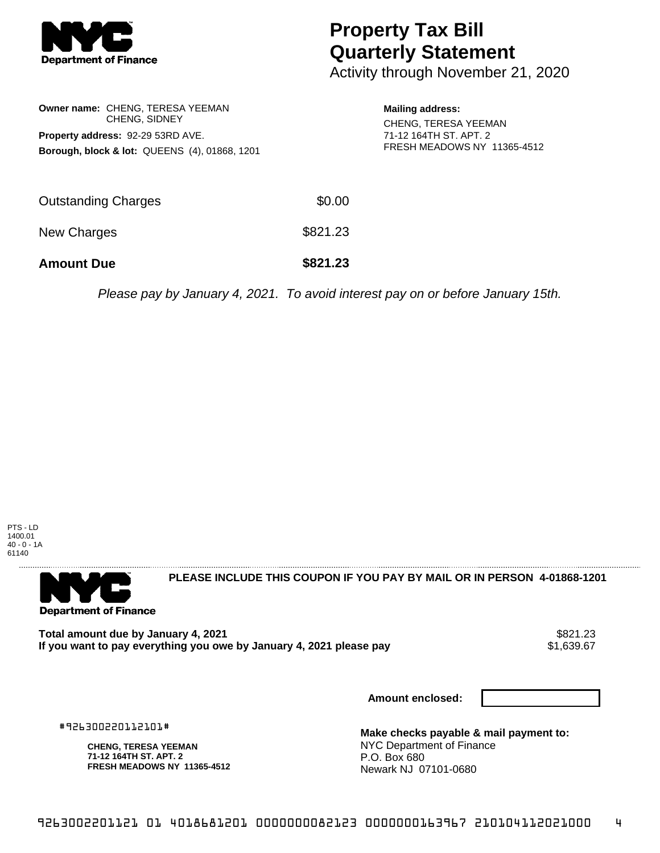

## **Property Tax Bill Quarterly Statement**

Activity through November 21, 2020

| <b>Owner name: CHENG, TERESA YEEMAN</b><br><b>CHENG, SIDNEY</b><br>Property address: 92-29 53RD AVE.<br><b>Borough, block &amp; lot: QUEENS (4), 01868, 1201</b> |          | <b>Mailing address:</b><br><b>CHENG, TERESA YEEMAN</b><br>71-12 164TH ST, APT, 2<br>FRESH MEADOWS NY 11365-4512 |
|------------------------------------------------------------------------------------------------------------------------------------------------------------------|----------|-----------------------------------------------------------------------------------------------------------------|
| <b>Outstanding Charges</b>                                                                                                                                       | \$0.00   |                                                                                                                 |
| New Charges                                                                                                                                                      | \$821.23 |                                                                                                                 |
| <b>Amount Due</b>                                                                                                                                                | \$821.23 |                                                                                                                 |

Please pay by January 4, 2021. To avoid interest pay on or before January 15th.

PTS - LD 1400.01 40 - 0 - 1A 61140



**PLEASE INCLUDE THIS COUPON IF YOU PAY BY MAIL OR IN PERSON 4-01868-1201** 

**Total amount due by January 4, 2021** \$821.23 If you want to pay everything you owe by January 4, 2021 please pay

**Amount enclosed:**

#926300220112101#

**CHENG, TERESA YEEMAN 71-12 164TH ST. APT. 2 FRESH MEADOWS NY 11365-4512** **Make checks payable & mail payment to:** NYC Department of Finance P.O. Box 680 Newark NJ 07101-0680